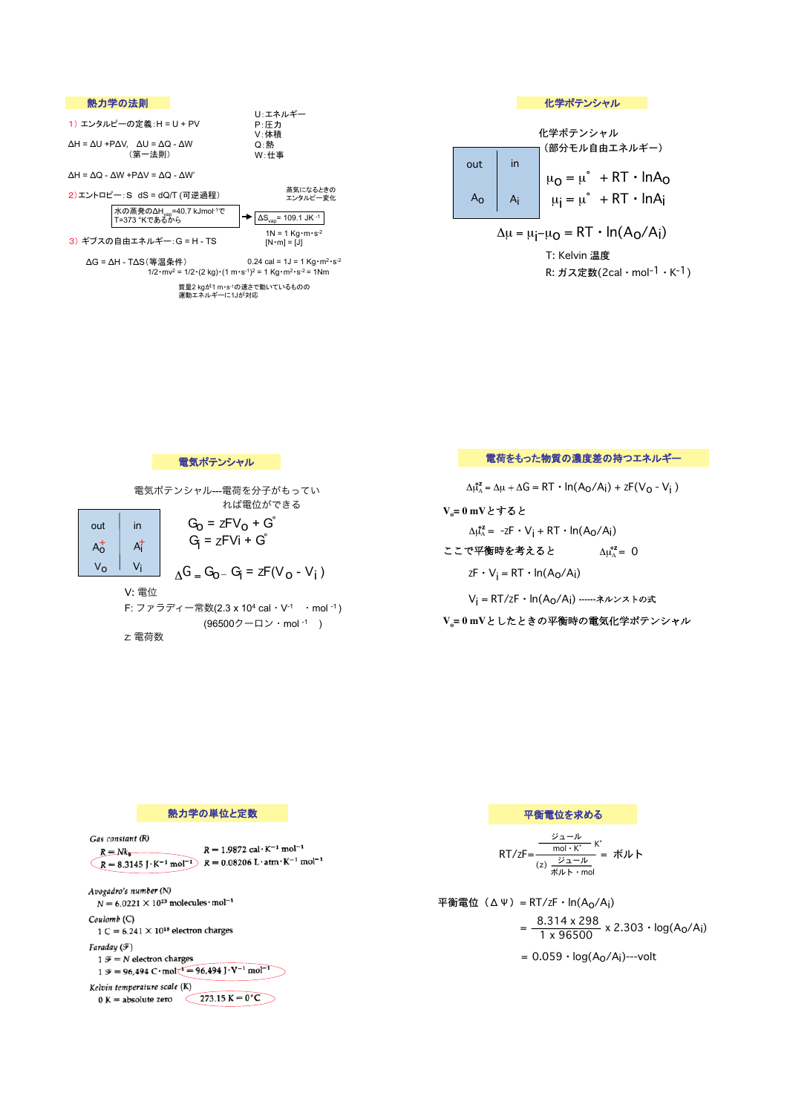

| 化学ポテンシャル                                            |         |                                                                                                                                            |
|-----------------------------------------------------|---------|--------------------------------------------------------------------------------------------------------------------------------------------|
| 化学ポテンシャル                                            |         |                                                                                                                                            |
| out                                                 | in      | (部分モル自由エネルギー)                                                                                                                              |
| $A_{\rm O}$                                         | $A_{i}$ | $\mu_{\mathbf{O}} = \mu^{\circ} + RT \cdot \text{ln}A_{\mathbf{O}}$<br>$\mu_{\mathbf{i}} = \mu^{\circ} + RT \cdot \text{ln}A_{\mathbf{i}}$ |
| $\Delta \mu = \mu_i - \mu_0 = RT \cdot ln(A_0/A_i)$ |         |                                                                                                                                            |
| T: Kelvin 温度                                        |         |                                                                                                                                            |

R: ガス定数(2cal・mol-1・K-1)

電気ポテンシャル

電気ポテンシャル---電荷を分子がもってい れば電位ができる

> $G_0 = zFV_0 + G<sup>°</sup>$  $G_i = zFVi + G^2$

out in  $A_0^+$   $A_1^+$  $V_0$  |  $V_i$ 

V: 電位

F: ファラディー常数(2.3 x 104 cal・V-1 ・mol -1 ) (96500クーロン・mol -1 )

 $\Delta$ G <sub>=</sub> G<sub>0</sub> - G<sub>i</sub> = zF(V<sub>0</sub> - V<sub>i</sub>)

Z: 電荷数

電荷をもった物質の濃度差の持つエネルギー

 $\Delta \mu_A^2 = \Delta \mu + \Delta G = RT \cdot ln(A_O/A_i) + zF(V_O - V_i)$ 

**V<sub>o</sub>=0mVとすると**  $\Delta \mu_A^2 = -zF \cdot V_i + RT \cdot ln(A_O/A_i)$ 

ここで平衡時を考えると  $\Delta \mu_{\rm A}^2 = 0$ 

 $zF \cdot V_i = RT \cdot ln(A_0/A_i)$ 

V<sub>i</sub> = RT/zF · ln(A<sub>O</sub>/A<sub>i</sub>) ------ネルンストの式

 $V_o = 0$  mVとしたときの平衡時の電気化学ポテンシャル



$$
RT/zF = \frac{\frac{\mathcal{V}_1 - \mathcal{W}}{\text{mol} \cdot K^*}}{(z) \frac{\mathcal{V}_1 - \mathcal{W}}{\#\mathcal{W} + \cdot \text{mol}}} = \frac{\mathcal{W}}{\#\mathcal{W}} +
$$

平衡電位(ΔΨ)= RT/ZF・ln(Ao/Ai)  $=\frac{8.314 \times 298}{1 \times 96500} \times 2.303 \cdot \log(A_0/A_1)$ 

 $= 0.059 \cdot log(A<sub>0</sub>/A<sub>i</sub>)$ ---volt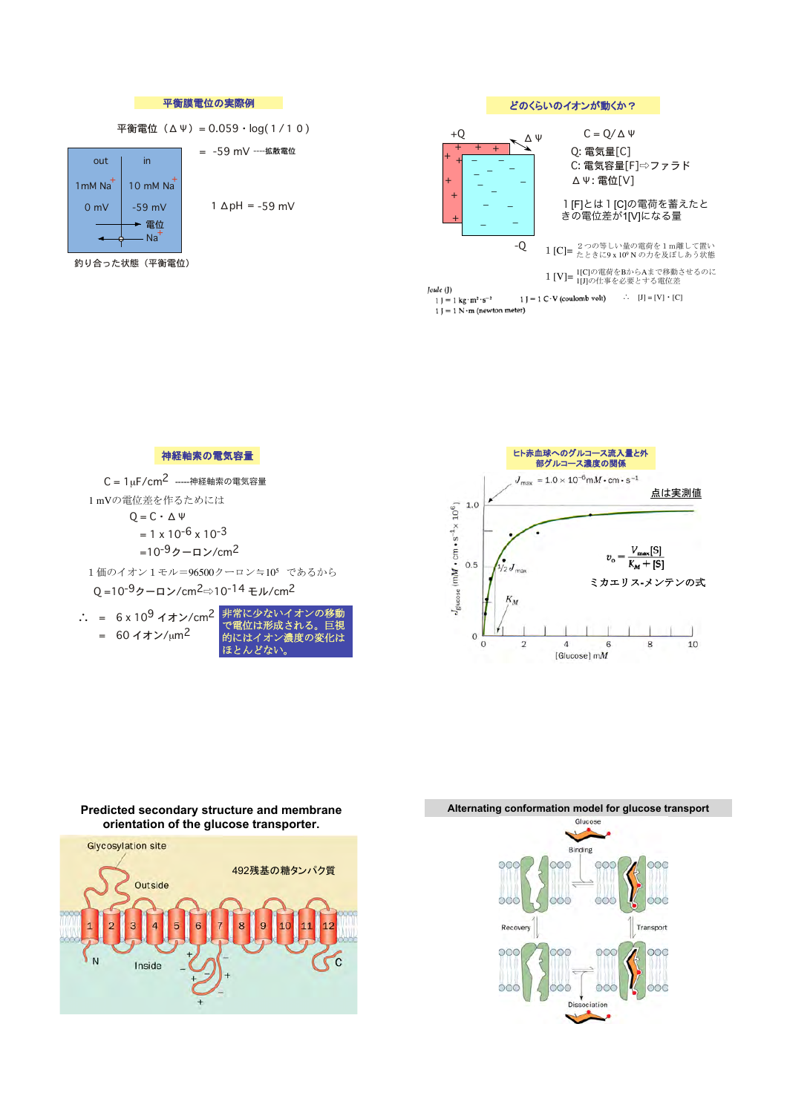



## Alternating conformation model for glucose transport

点は実測値

 $V_{\rm max}[{\mathbf{S}}]$ 

 $K_M + [S]$ 

8

10

 $v_{\rm o}$ 

6



## Predicted secondary structure and membrane orientation of the glucose transporter.

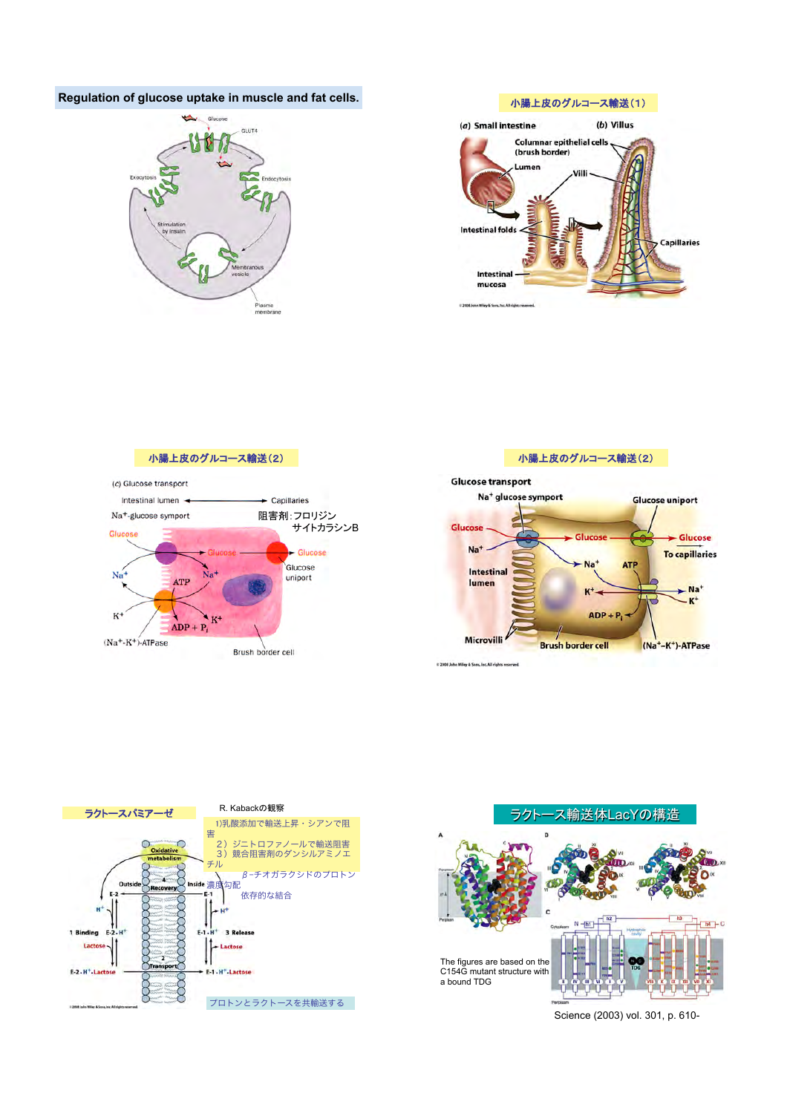## **Regulation of glucose uptake in muscle and fat cells.** <br> **C9timal Tagger The Muscle and fat cells.** <br> **C9timal Tagger The Muscle and fat cells.** <br> **C9timal Tagger The Muscle and fat cells.** <br> **C9timal Tagger The Muscle**













Science (2003) vol. 301, p. 610-